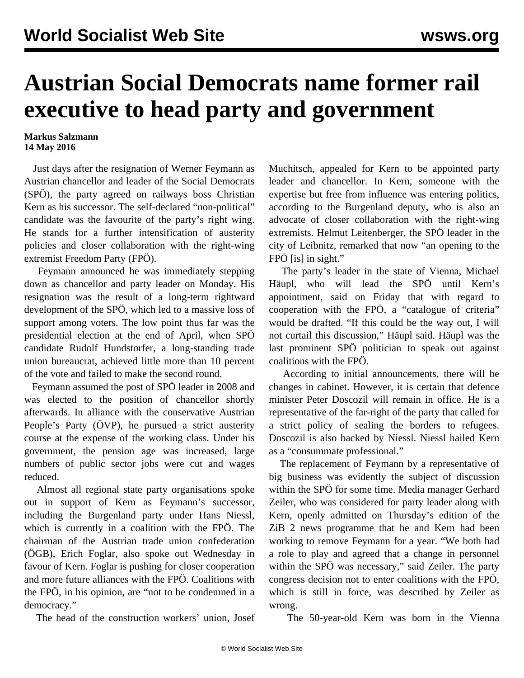## **Austrian Social Democrats name former rail executive to head party and government**

## **Markus Salzmann 14 May 2016**

 Just days after the resignation of Werner Feymann as Austrian chancellor and leader of the Social Democrats (SPÖ), the party agreed on railways boss Christian Kern as his successor. The self-declared "non-political" candidate was the favourite of the party's right wing. He stands for a further intensification of austerity policies and closer collaboration with the right-wing extremist Freedom Party (FPÖ).

 Feymann announced he was immediately stepping down as chancellor and party leader on Monday. His resignation was the result of a long-term rightward development of the SPÖ, which led to a massive loss of support among voters. The low point thus far was the presidential election at the end of April, when SPÖ candidate Rudolf Hundstorfer, a long-standing trade union bureaucrat, achieved little more than 10 percent of the vote and failed to make the second round.

 Feymann assumed the post of SPÖ leader in 2008 and was elected to the position of chancellor shortly afterwards. In alliance with the conservative Austrian People's Party (ÖVP), he pursued a strict austerity course at the expense of the working class. Under his government, the pension age was increased, large numbers of public sector jobs were cut and wages reduced.

 Almost all regional state party organisations spoke out in support of Kern as Feymann's successor, including the Burgenland party under Hans Niessl, which is currently in a coalition with the FPÖ. The chairman of the Austrian trade union confederation (ÖGB), Erich Foglar, also spoke out Wednesday in favour of Kern. Foglar is pushing for closer cooperation and more future alliances with the FPÖ. Coalitions with the FPÖ, in his opinion, are "not to be condemned in a democracy."

The head of the construction workers' union, Josef

Muchitsch, appealed for Kern to be appointed party leader and chancellor. In Kern, someone with the expertise but free from influence was entering politics, according to the Burgenland deputy, who is also an advocate of closer collaboration with the right-wing extremists. Helmut Leitenberger, the SPÖ leader in the city of Leibnitz, remarked that now "an opening to the FPÖ [is] in sight."

 The party's leader in the state of Vienna, Michael Häupl, who will lead the SPÖ until Kern's appointment, said on Friday that with regard to cooperation with the FPÖ, a "catalogue of criteria" would be drafted. "If this could be the way out, I will not curtail this discussion," Häupl said. Häupl was the last prominent SPÖ politician to speak out against coalitions with the FPÖ.

 According to initial announcements, there will be changes in cabinet. However, it is certain that defence minister Peter Doscozil will remain in office. He is a representative of the far-right of the party that called for a strict policy of sealing the borders to refugees. Doscozil is also backed by Niessl. Niessl hailed Kern as a "consummate professional."

 The replacement of Feymann by a representative of big business was evidently the subject of discussion within the SPÖ for some time. Media manager Gerhard Zeiler, who was considered for party leader along with Kern, openly admitted on Thursday's edition of the ZiB 2 news programme that he and Kern had been working to remove Feymann for a year. "We both had a role to play and agreed that a change in personnel within the SPÖ was necessary," said Zeiler. The party congress decision not to enter coalitions with the FPÖ, which is still in force, was described by Zeiler as wrong.

The 50-year-old Kern was born in the Vienna